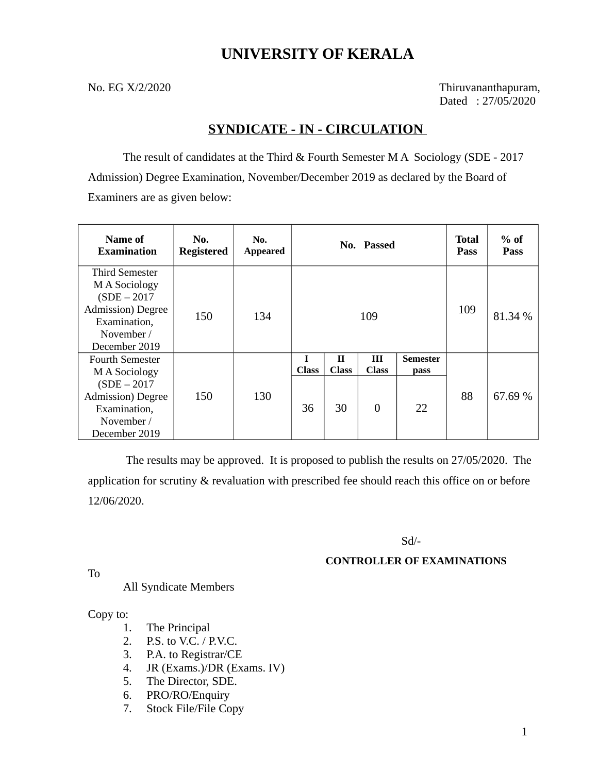# **UNIVERSITY OF KERALA**

No. EG X/2/2020 Thiruvananthapuram, Dated : 27/05/2020

# **SYNDICATE - IN - CIRCULATION**

The result of candidates at the Third & Fourth Semester M A Sociology (SDE - 2017 Admission) Degree Examination, November/December 2019 as declared by the Board of Examiners are as given below:

| Name of<br><b>Examination</b>                                                                                                         | No.<br><b>Registered</b> | No.<br><b>Appeared</b> |                    |                         | No. Passed                                     |                                      | <b>Total</b><br><b>Pass</b> | $%$ of<br><b>Pass</b> |
|---------------------------------------------------------------------------------------------------------------------------------------|--------------------------|------------------------|--------------------|-------------------------|------------------------------------------------|--------------------------------------|-----------------------------|-----------------------|
| <b>Third Semester</b><br>M A Sociology<br>$(SDE - 2017)$<br><b>Admission</b> ) Degree<br>Examination,<br>November /<br>December 2019  | 150                      | 134                    |                    |                         | 109                                            |                                      | 109                         | 81.34 %               |
| <b>Fourth Semester</b><br>M A Sociology<br>$(SDE - 2017)$<br><b>Admission</b> ) Degree<br>Examination,<br>November /<br>December 2019 | 150                      | 130                    | <b>Class</b><br>36 | Н<br><b>Class</b><br>30 | $\mathbf{H}$<br><b>Class</b><br>$\overline{0}$ | <b>Semester</b><br><b>pass</b><br>22 | 88                          | 67.69 %               |

 The results may be approved. It is proposed to publish the results on 27/05/2020. The application for scrutiny & revaluation with prescribed fee should reach this office on or before 12/06/2020.

Sd/-

## **CONTROLLER OF EXAMINATIONS**

To

### All Syndicate Members

Copy to:

- 1. The Principal
- 2. P.S. to V.C. / P.V.C.
- 3. P.A. to Registrar/CE
- 4. JR (Exams.)/DR (Exams. IV)
- 5. The Director, SDE.
- 6. PRO/RO/Enquiry
- 7. Stock File/File Copy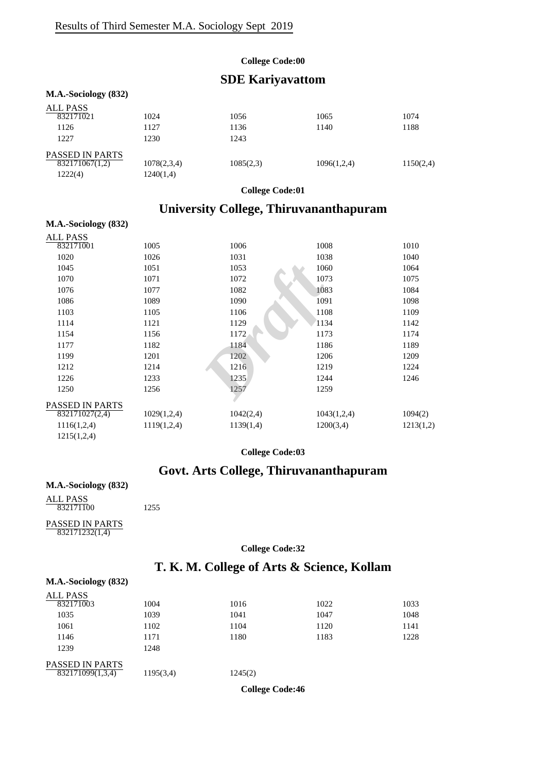#### **College Code:00**

### **SDE Kariyavattom**

#### **M.A.-Sociology (832)** ALL PASS<br>832171021 PASSED IN PARTS 832171021 1024 1056 1065 1074 1126 1127 1136 1140 1188 1227 1230 1243  $\overline{832171067(1,2)}$  1078(2,3,4) 1085(2,3) 1096(1,2,4) 1150(2,4) 1222(4) 1240(1,4)

**College Code:01**

# **University College, Thiruvananthapuram**

#### **M.A.-Sociology (832)**

| 1005            | 1006      | 1008        | 1010      |
|-----------------|-----------|-------------|-----------|
| 1026            | 1031      | 1038        | 1040      |
| 1051            | 1053      | 1060        | 1064      |
| 1071            | 1072      | 1073        | 1075      |
| 1077            | 1082      | 1083        | 1084      |
| 1089            | 1090      | 1091        | 1098      |
| 1105            | 1106      | 1108        | 1109      |
| 1121            | 1129      | 1134        | 1142      |
| 1156            | 1172      | 1173        | 1174      |
| 1182            | 1184      | 1186        | 1189      |
| 1201            | 1202      | 1206        | 1209      |
| 1214            | 1216      | 1219        | 1224      |
| 1233            | 1235      | 1244        | 1246      |
| 1256            | 1257      | 1259        |           |
| PASSED IN PARTS |           |             |           |
| 1029(1,2,4)     | 1042(2,4) | 1043(1,2,4) | 1094(2)   |
| 1119(1,2,4)     | 1139(1,4) | 1200(3,4)   | 1213(1,2) |
|                 |           |             |           |
|                 |           |             |           |

**College Code:03**

## **Govt. Arts College, Thiruvananthapuram**

#### **M.A.-Sociology (832)**

ALL PASS 832171100 1255

#### PASSED IN PARTS 832171232(1,4)

#### **College Code:32**

## **T. K. M. College of Arts & Science, Kollam**

| M.A.-Sociology (832)         |           |         |      |      |
|------------------------------|-----------|---------|------|------|
| <b>ALL PASS</b><br>832171003 | 1004      | 1016    | 1022 | 1033 |
| 1035                         | 1039      | 1041    | 1047 | 1048 |
| 1061                         | 1102      | 1104    | 1120 | 1141 |
| 1146                         | 1171      | 1180    | 1183 | 1228 |
| 1239                         | 1248      |         |      |      |
| <b>PASSED IN PARTS</b>       |           |         |      |      |
| 832171099(1,3,4)             | 1195(3,4) | 1245(2) |      |      |

**College Code:46**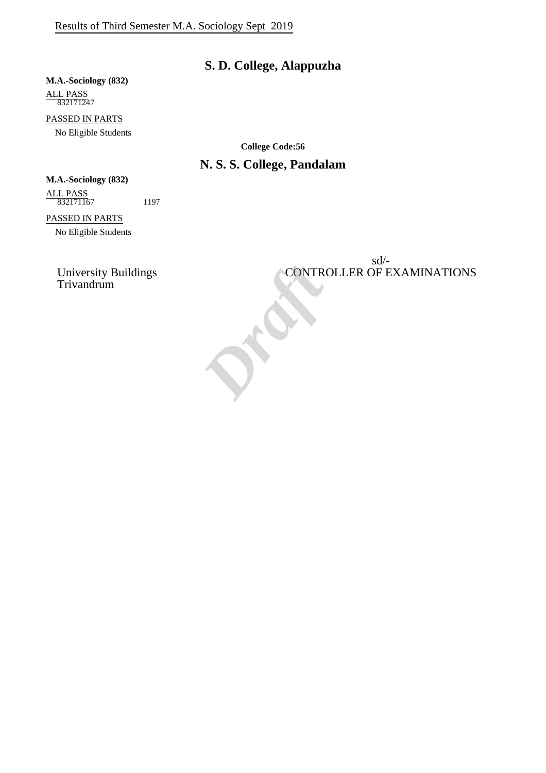# **S. D. College, Alappuzha**

### **M.A.-Sociology (832)** ALL PASS

832171247

PASSED IN PARTS No Eligible Students

**College Code:56**

# **N. S. S. College, Pandalam**

### **M.A.-Sociology (832)**

ALL PASS 832171167 1197

### PASSED IN PARTS

No Eligible Students

sd/- University Buildings CONTROLLER OF EXAMINATIONS Trivandrum Trivandrum *Draft*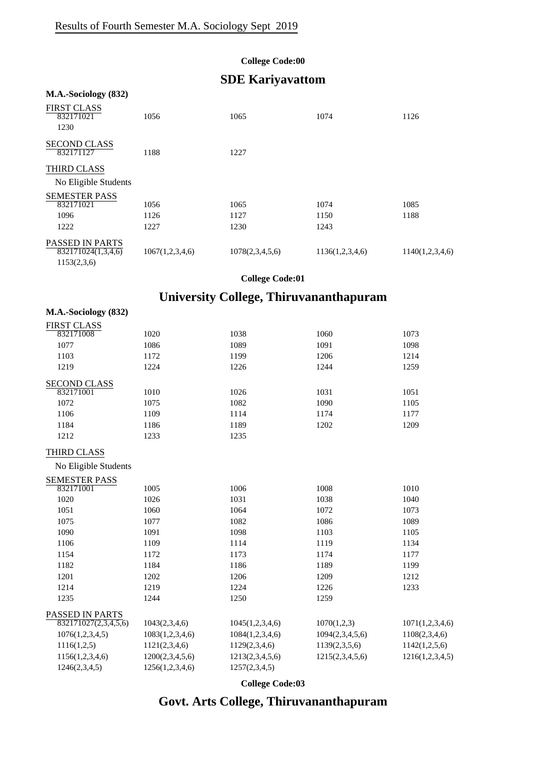**M.A.-Sociology (832)**

### **College Code:00**

# **SDE Kariyavattom**

| M.A.-Sociology (832)                         |                 |                 |                 |                 |
|----------------------------------------------|-----------------|-----------------|-----------------|-----------------|
| <b>FIRST CLASS</b><br>832171021<br>1230      | 1056            | 1065            | 1074            | 1126            |
| <b>SECOND CLASS</b><br>832171127             | 1188            | 1227            |                 |                 |
| <b>THIRD CLASS</b>                           |                 |                 |                 |                 |
| No Eligible Students                         |                 |                 |                 |                 |
| <b>SEMESTER PASS</b>                         |                 |                 |                 |                 |
| 832171021                                    | 1056            | 1065            | 1074            | 1085            |
| 1096                                         | 1126            | 1127            | 1150            | 1188            |
| 1222                                         | 1227            | 1230            | 1243            |                 |
| <b>PASSED IN PARTS</b><br>832171024(1,3,4,6) | 1067(1,2,3,4,6) | 1078(2,3,4,5,6) | 1136(1,2,3,4,6) | 1140(1,2,3,4,6) |
| 1153(2,3,6)                                  |                 |                 |                 |                 |

### **College Code:01**

# **University College, Thiruvananthapuram**

| <b>FIRST CLASS</b>   |                 |                 |                 |                 |
|----------------------|-----------------|-----------------|-----------------|-----------------|
| 832171008            | 1020            | 1038            | 1060            | 1073            |
| 1077                 | 1086            | 1089            | 1091            | 1098            |
| 1103                 | 1172            | 1199            | 1206            | 1214            |
| 1219                 | 1224            | 1226            | 1244            | 1259            |
| <b>SECOND CLASS</b>  |                 |                 |                 |                 |
| 832171001            | 1010            | 1026            | 1031            | 1051            |
| 1072                 | 1075            | 1082            | 1090            | 1105            |
| 1106                 | 1109            | 1114            | 1174            | 1177            |
| 1184                 | 1186            | 1189            | 1202            | 1209            |
| 1212                 | 1233            | 1235            |                 |                 |
| <b>THIRD CLASS</b>   |                 |                 |                 |                 |
| No Eligible Students |                 |                 |                 |                 |
| <b>SEMESTER PASS</b> |                 |                 |                 |                 |
| 832171001            | 1005            | 1006            | 1008            | 1010            |
| 1020                 | 1026            | 1031            | 1038            | 1040            |
| 1051                 | 1060            | 1064            | 1072            | 1073            |
| 1075                 | 1077            | 1082            | 1086            | 1089            |
| 1090                 | 1091            | 1098            | 1103            | 1105            |
| 1106                 | 1109            | 1114            | 1119            | 1134            |
| 1154                 | 1172            | 1173            | 1174            | 1177            |
| 1182                 | 1184            | 1186            | 1189            | 1199            |
| 1201                 | 1202            | 1206            | 1209            | 1212            |
| 1214                 | 1219            | 1224            | 1226            | 1233            |
| 1235                 | 1244            | 1250            | 1259            |                 |
| PASSED IN PARTS      |                 |                 |                 |                 |
| 832171027(2,3,4,5,6) | 1043(2,3,4,6)   | 1045(1,2,3,4,6) | 1070(1,2,3)     | 1071(1,2,3,4,6) |
| 1076(1,2,3,4,5)      | 1083(1,2,3,4,6) | 1084(1,2,3,4,6) | 1094(2,3,4,5,6) | 1108(2,3,4,6)   |
| 1116(1,2,5)          | 1121(2,3,4,6)   | 1129(2,3,4,6)   | 1139(2,3,5,6)   | 1142(1,2,5,6)   |
| 1156(1,2,3,4,6)      | 1200(2,3,4,5,6) | 1213(2,3,4,5,6) | 1215(2,3,4,5,6) | 1216(1,2,3,4,5) |
| 1246(2,3,4,5)        | 1256(1,2,3,4,6) | 1257(2,3,4,5)   |                 |                 |

**College Code:03**

# **Govt. Arts College, Thiruvananthapuram**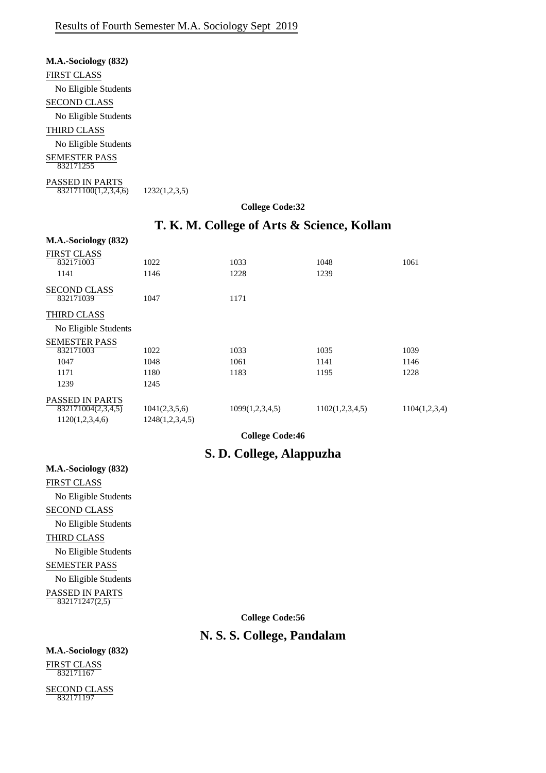| M.A.-Sociology (832)                    |               |
|-----------------------------------------|---------------|
| FIRST CLASS                             |               |
| No Eligible Students                    |               |
| SECOND CLASS                            |               |
| No Eligible Students                    |               |
| THIRD CLASS                             |               |
| No Eligible Students                    |               |
| SEMESTER PASS<br>832171255              |               |
| PASSED IN PARTS<br>832171100(1,2,3,4,6) | 1232(1,2,3,5) |

#### **College Code:32**

## **T. K. M. College of Arts & Science, Kollam**

| M.A.-Sociology (832)            |                 |                 |                 |               |
|---------------------------------|-----------------|-----------------|-----------------|---------------|
| <b>FIRST CLASS</b>              |                 |                 |                 |               |
| 832171003                       | 1022            | 1033            | 1048            | 1061          |
| 1141                            | 1146            | 1228            | 1239            |               |
| <b>SECOND CLASS</b>             |                 |                 |                 |               |
| 832171039                       | 1047            | 1171            |                 |               |
| THIRD CLASS                     |                 |                 |                 |               |
| No Eligible Students            |                 |                 |                 |               |
| <b>SEMESTER PASS</b>            |                 |                 |                 |               |
| 832171003                       | 1022            | 1033            | 1035            | 1039          |
| 1047                            | 1048            | 1061            | 1141            | 1146          |
| 1171                            | 1180            | 1183            | 1195            | 1228          |
| 1239                            | 1245            |                 |                 |               |
| <b>PASSED IN PARTS</b>          |                 |                 |                 |               |
| $\overline{8321}71004(2,3,4,5)$ | 1041(2,3,5,6)   | 1099(1,2,3,4,5) | 1102(1,2,3,4,5) | 1104(1,2,3,4) |
| 1120(1,2,3,4,6)                 | 1248(1,2,3,4,5) |                 |                 |               |

**College Code:46**

## **S. D. College, Alappuzha**

FIRST CLASS No Eligible Students SECOND CLASS No Eligible Students THIRD CLASS No Eligible Students SEMESTER PASS No Eligible Students PASSED IN PARTS 832171247(2,5)

**M.A.-Sociology (832)**

**College Code:56**

### **N. S. S. College, Pandalam**

**M.A.-Sociology (832)** FIRST CLASS 832171167

SECOND CLASS 832171197